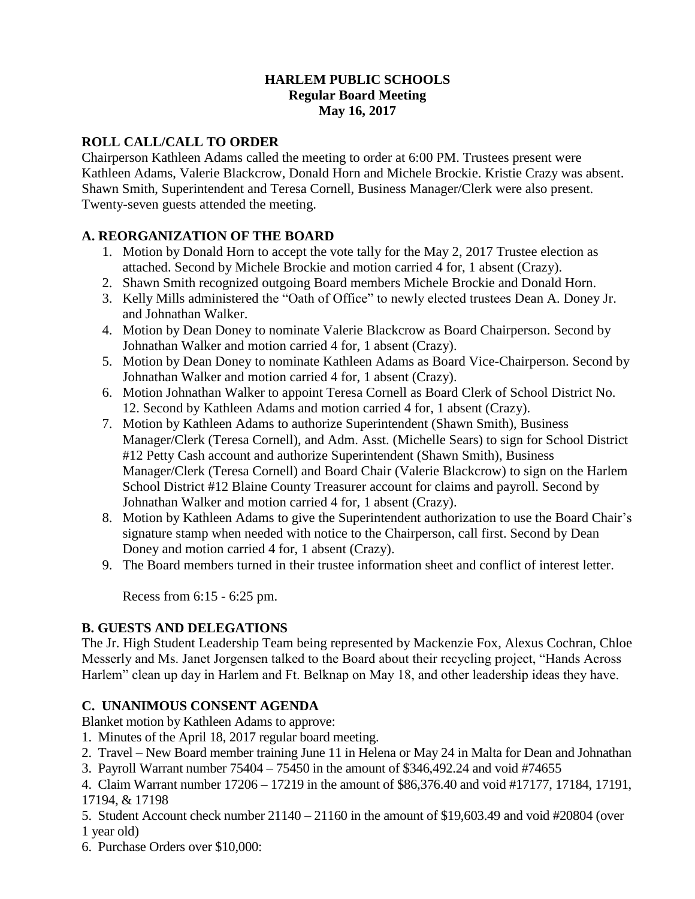#### **HARLEM PUBLIC SCHOOLS Regular Board Meeting May 16, 2017**

### **ROLL CALL/CALL TO ORDER**

Chairperson Kathleen Adams called the meeting to order at 6:00 PM. Trustees present were Kathleen Adams, Valerie Blackcrow, Donald Horn and Michele Brockie. Kristie Crazy was absent. Shawn Smith, Superintendent and Teresa Cornell, Business Manager/Clerk were also present. Twenty-seven guests attended the meeting.

### **A. REORGANIZATION OF THE BOARD**

- 1. Motion by Donald Horn to accept the vote tally for the May 2, 2017 Trustee election as attached. Second by Michele Brockie and motion carried 4 for, 1 absent (Crazy).
- 2. Shawn Smith recognized outgoing Board members Michele Brockie and Donald Horn.
- 3. Kelly Mills administered the "Oath of Office" to newly elected trustees Dean A. Doney Jr. and Johnathan Walker.
- 4. Motion by Dean Doney to nominate Valerie Blackcrow as Board Chairperson. Second by Johnathan Walker and motion carried 4 for, 1 absent (Crazy).
- 5. Motion by Dean Doney to nominate Kathleen Adams as Board Vice-Chairperson. Second by Johnathan Walker and motion carried 4 for, 1 absent (Crazy).
- 6. Motion Johnathan Walker to appoint Teresa Cornell as Board Clerk of School District No. 12. Second by Kathleen Adams and motion carried 4 for, 1 absent (Crazy).
- 7. Motion by Kathleen Adams to authorize Superintendent (Shawn Smith), Business Manager/Clerk (Teresa Cornell), and Adm. Asst. (Michelle Sears) to sign for School District #12 Petty Cash account and authorize Superintendent (Shawn Smith), Business Manager/Clerk (Teresa Cornell) and Board Chair (Valerie Blackcrow) to sign on the Harlem School District #12 Blaine County Treasurer account for claims and payroll. Second by Johnathan Walker and motion carried 4 for, 1 absent (Crazy).
- 8. Motion by Kathleen Adams to give the Superintendent authorization to use the Board Chair's signature stamp when needed with notice to the Chairperson, call first. Second by Dean Doney and motion carried 4 for, 1 absent (Crazy).
- 9. The Board members turned in their trustee information sheet and conflict of interest letter.

Recess from 6:15 - 6:25 pm.

#### **B. GUESTS AND DELEGATIONS**

The Jr. High Student Leadership Team being represented by Mackenzie Fox, Alexus Cochran, Chloe Messerly and Ms. Janet Jorgensen talked to the Board about their recycling project, "Hands Across Harlem" clean up day in Harlem and Ft. Belknap on May 18, and other leadership ideas they have.

#### **C. UNANIMOUS CONSENT AGENDA**

Blanket motion by Kathleen Adams to approve:

- 1. Minutes of the April 18, 2017 regular board meeting.
- 2. Travel New Board member training June 11 in Helena or May 24 in Malta for Dean and Johnathan
- 3. Payroll Warrant number 75404 75450 in the amount of \$346,492.24 and void #74655

4. Claim Warrant number 17206 – 17219 in the amount of \$86,376.40 and void #17177, 17184, 17191, 17194, & 17198

5. Student Account check number 21140 – 21160 in the amount of \$19,603.49 and void #20804 (over 1 year old)

6. Purchase Orders over \$10,000: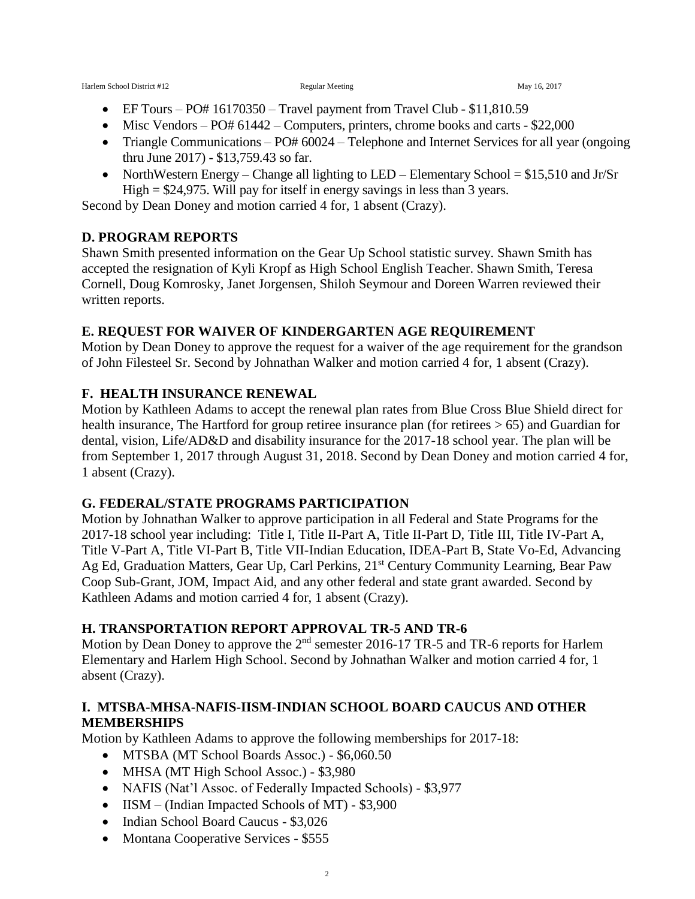- EF Tours PO# 16170350 Travel payment from Travel Club \$11,810.59
- $\bullet$  Misc Vendors PO# 61442 Computers, printers, chrome books and carts \$22,000
- Triangle Communications PO# 60024 Telephone and Internet Services for all year (ongoing thru June 2017) - \$13,759.43 so far.
- NorthWestern Energy Change all lighting to LED Elementary School =  $$15,510$  and Jr/Sr High  $= $24,975$ . Will pay for itself in energy savings in less than 3 years.

Second by Dean Doney and motion carried 4 for, 1 absent (Crazy).

#### **D. PROGRAM REPORTS**

Shawn Smith presented information on the Gear Up School statistic survey. Shawn Smith has accepted the resignation of Kyli Kropf as High School English Teacher. Shawn Smith, Teresa Cornell, Doug Komrosky, Janet Jorgensen, Shiloh Seymour and Doreen Warren reviewed their written reports.

#### **E. REQUEST FOR WAIVER OF KINDERGARTEN AGE REQUIREMENT**

Motion by Dean Doney to approve the request for a waiver of the age requirement for the grandson of John Filesteel Sr. Second by Johnathan Walker and motion carried 4 for, 1 absent (Crazy).

### **F. HEALTH INSURANCE RENEWAL**

Motion by Kathleen Adams to accept the renewal plan rates from Blue Cross Blue Shield direct for health insurance, The Hartford for group retiree insurance plan (for retirees  $> 65$ ) and Guardian for dental, vision, Life/AD&D and disability insurance for the 2017-18 school year. The plan will be from September 1, 2017 through August 31, 2018. Second by Dean Doney and motion carried 4 for, 1 absent (Crazy).

#### **G. FEDERAL/STATE PROGRAMS PARTICIPATION**

Motion by Johnathan Walker to approve participation in all Federal and State Programs for the 2017-18 school year including: Title I, Title II-Part A, Title II-Part D, Title III, Title IV-Part A, Title V-Part A, Title VI-Part B, Title VII-Indian Education, IDEA-Part B, State Vo-Ed, Advancing Ag Ed, Graduation Matters, Gear Up, Carl Perkins, 21<sup>st</sup> Century Community Learning, Bear Paw Coop Sub-Grant, JOM, Impact Aid, and any other federal and state grant awarded. Second by Kathleen Adams and motion carried 4 for, 1 absent (Crazy).

#### **H. TRANSPORTATION REPORT APPROVAL TR-5 AND TR-6**

Motion by Dean Doney to approve the 2<sup>nd</sup> semester 2016-17 TR-5 and TR-6 reports for Harlem Elementary and Harlem High School. Second by Johnathan Walker and motion carried 4 for, 1 absent (Crazy).

#### **I. MTSBA-MHSA-NAFIS-IISM-INDIAN SCHOOL BOARD CAUCUS AND OTHER MEMBERSHIPS**

Motion by Kathleen Adams to approve the following memberships for 2017-18:

- MTSBA (MT School Boards Assoc.) \$6,060.50
- MHSA (MT High School Assoc.) \$3,980
- NAFIS (Nat'l Assoc. of Federally Impacted Schools) \$3,977
- IISM (Indian Impacted Schools of MT) \$3,900
- Indian School Board Caucus \$3,026
- Montana Cooperative Services \$555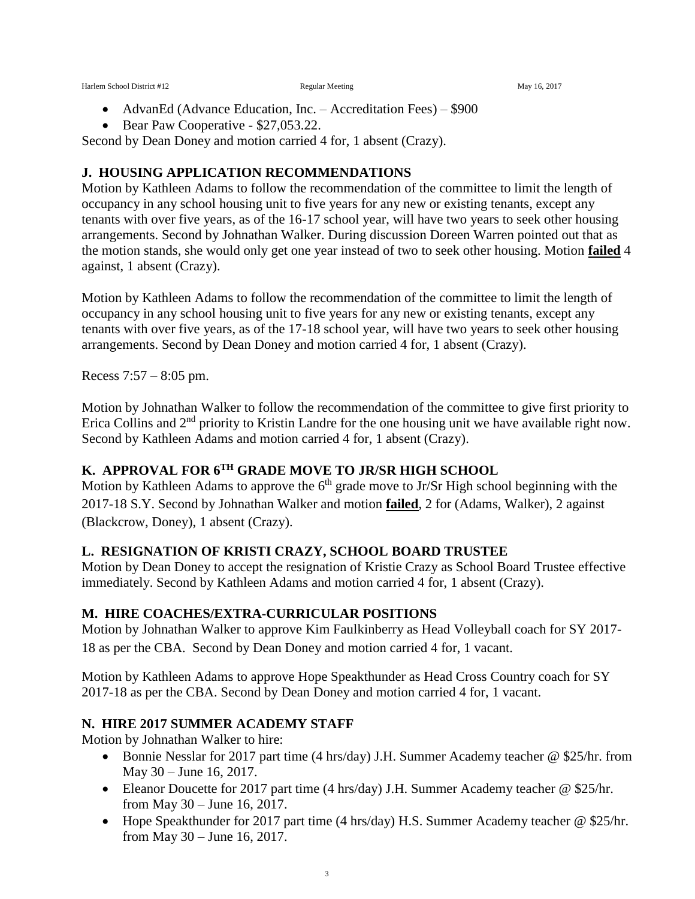- AdvanEd (Advance Education, Inc. Accreditation Fees) \$900
- Bear Paw Cooperative \$27,053.22.

Second by Dean Doney and motion carried 4 for, 1 absent (Crazy).

#### **J. HOUSING APPLICATION RECOMMENDATIONS**

Motion by Kathleen Adams to follow the recommendation of the committee to limit the length of occupancy in any school housing unit to five years for any new or existing tenants, except any tenants with over five years, as of the 16-17 school year, will have two years to seek other housing arrangements. Second by Johnathan Walker. During discussion Doreen Warren pointed out that as the motion stands, she would only get one year instead of two to seek other housing. Motion **failed** 4 against, 1 absent (Crazy).

Motion by Kathleen Adams to follow the recommendation of the committee to limit the length of occupancy in any school housing unit to five years for any new or existing tenants, except any tenants with over five years, as of the 17-18 school year, will have two years to seek other housing arrangements. Second by Dean Doney and motion carried 4 for, 1 absent (Crazy).

Recess 7:57 – 8:05 pm.

Motion by Johnathan Walker to follow the recommendation of the committee to give first priority to Erica Collins and 2<sup>nd</sup> priority to Kristin Landre for the one housing unit we have available right now. Second by Kathleen Adams and motion carried 4 for, 1 absent (Crazy).

# **K. APPROVAL FOR 6TH GRADE MOVE TO JR/SR HIGH SCHOOL**

Motion by Kathleen Adams to approve the  $6<sup>th</sup>$  grade move to Jr/Sr High school beginning with the 2017-18 S.Y. Second by Johnathan Walker and motion **failed**, 2 for (Adams, Walker), 2 against (Blackcrow, Doney), 1 absent (Crazy).

#### **L. RESIGNATION OF KRISTI CRAZY, SCHOOL BOARD TRUSTEE**

Motion by Dean Doney to accept the resignation of Kristie Crazy as School Board Trustee effective immediately. Second by Kathleen Adams and motion carried 4 for, 1 absent (Crazy).

#### **M. HIRE COACHES/EXTRA-CURRICULAR POSITIONS**

Motion by Johnathan Walker to approve Kim Faulkinberry as Head Volleyball coach for SY 2017- 18 as per the CBA. Second by Dean Doney and motion carried 4 for, 1 vacant.

Motion by Kathleen Adams to approve Hope Speakthunder as Head Cross Country coach for SY 2017-18 as per the CBA. Second by Dean Doney and motion carried 4 for, 1 vacant.

#### **N. HIRE 2017 SUMMER ACADEMY STAFF**

Motion by Johnathan Walker to hire:

- Bonnie Nesslar for 2017 part time (4 hrs/day) J.H. Summer Academy teacher @ \$25/hr. from May 30 – June 16, 2017.
- Eleanor Doucette for 2017 part time (4 hrs/day) J.H. Summer Academy teacher @ \$25/hr. from May 30 – June 16, 2017.
- Hope Speakthunder for 2017 part time (4 hrs/day) H.S. Summer Academy teacher @ \$25/hr. from May 30 – June 16, 2017.